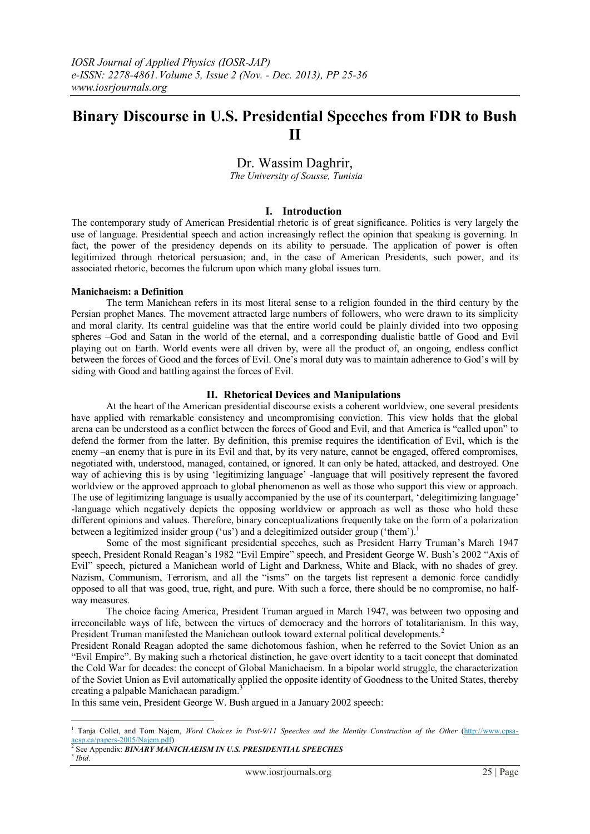# **Binary Discourse in U.S. Presidential Speeches from FDR to Bush II**

# Dr. Wassim Daghrir,

*The University of Sousse, Tunisia*

# **I. Introduction**

The contemporary study of American Presidential rhetoric is of great significance. Politics is very largely the use of language. Presidential speech and action increasingly reflect the opinion that speaking is governing. In fact, the power of the presidency depends on its ability to persuade. The application of power is often legitimized through rhetorical persuasion; and, in the case of American Presidents, such power, and its associated rhetoric, becomes the fulcrum upon which many global issues turn.

#### **Manichaeism: a Definition**

The term Manichean refers in its most literal sense to a religion founded in the third century by the Persian prophet Manes. The movement attracted large numbers of followers, who were drawn to its simplicity and moral clarity. Its central guideline was that the entire world could be plainly divided into two opposing spheres –God and Satan in the world of the eternal, and a corresponding dualistic battle of Good and Evil playing out on Earth. World events were all driven by, were all the product of, an ongoing, endless conflict between the forces of Good and the forces of Evil. One's moral duty was to maintain adherence to God's will by siding with Good and battling against the forces of Evil.

#### **II. Rhetorical Devices and Manipulations**

At the heart of the American presidential discourse exists a coherent worldview, one several presidents have applied with remarkable consistency and uncompromising conviction. This view holds that the global arena can be understood as a conflict between the forces of Good and Evil, and that America is "called upon" to defend the former from the latter. By definition, this premise requires the identification of Evil, which is the enemy –an enemy that is pure in its Evil and that, by its very nature, cannot be engaged, offered compromises, negotiated with, understood, managed, contained, or ignored. It can only be hated, attacked, and destroyed. One way of achieving this is by using ‗legitimizing language' -language that will positively represent the favored worldview or the approved approach to global phenomenon as well as those who support this view or approach. The use of legitimizing language is usually accompanied by the use of its counterpart, ‗delegitimizing language' -language which negatively depicts the opposing worldview or approach as well as those who hold these different opinions and values. Therefore, binary conceptualizations frequently take on the form of a polarization between a legitimized insider group ('us') and a delegitimized outsider group ('them').<sup>1</sup>

Some of the most significant presidential speeches, such as President Harry Truman's March 1947 speech, President Ronald Reagan's 1982 "Evil Empire" speech, and President George W. Bush's 2002 "Axis of Evil" speech, pictured a Manichean world of Light and Darkness, White and Black, with no shades of grey. Nazism, Communism, Terrorism, and all the "isms" on the targets list represent a demonic force candidly opposed to all that was good, true, right, and pure. With such a force, there should be no compromise, no halfway measures.

The choice facing America, President Truman argued in March 1947, was between two opposing and [irreconcilable](http://www.answers.com/topic/irreconcilable) ways of life, between the virtues of democracy and the horrors of [totalitarianism.](http://www.answers.com/topic/totalitarianism) In this way, President Truman manifested the Manichean outlook toward external political developments.<sup>2</sup>

President Ronald Reagan adopted the same [dichotomous](http://www.answers.com/topic/dichotomous) fashion, when he referred to the Soviet Union as an ―Evil Empire‖. By making such a rhetorical distinction, he gave overt identity to a tacit concept that dominated the Cold War for decades: the concept of Global Manichaeism. In a bipolar world struggle, the characterization of the Soviet Union as Evil automatically applied the opposite identity of Goodness to the United States, thereby creating a palpable Manichaean paradigm.

In this same vein, President George W. Bush argued in a January 2002 speech:

See Appendix: *BINARY MANICHAEISM IN U.S. PRESIDENTIAL SPEECHES*

3 *Ibid*.

1

<sup>&</sup>lt;sup>1</sup> Tanja Collet, and Tom Najem, *[Word Choices in Post-9/11 Speeches and the Identity Construction of the](http://www.cpsa-acsp.ca/papers-2005/Najem.pdf) Other* [\(http://www.cpsa-](http://www.cpsa-acsp.ca/papers-2005/Najem.pdf) $\frac{\text{acsp.ca/papers-2005/Najem.pdf}}{\text{2 Soe Amendiv: PINAPV MA}$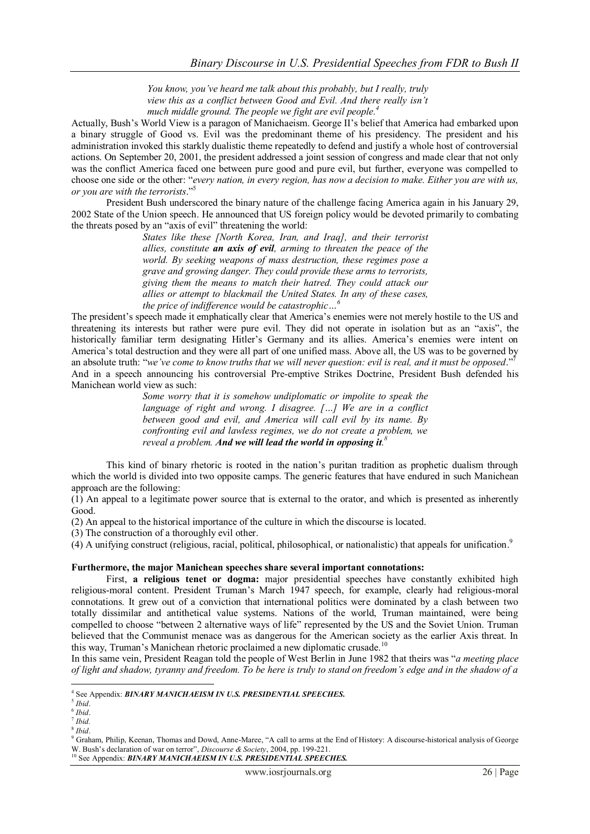*You know, you've heard me talk about this probably, but I really, truly view this as a conflict between Good and Evil. And there really isn't much middle ground. The people we fight are evil people. 4*

Actually, Bush's World View is a paragon of Manichaeism. George II's belief that America had embarked upon a binary struggle of Good vs. Evil was the predominant theme of his presidency. The president and his administration invoked this starkly dualistic theme repeatedly to defend and justify a whole host of controversial actions. On September 20, 2001, the president addressed a joint session of congress and made clear that not only was the conflict America faced one between pure good and pure evil, but further, everyone was compelled to choose one side or the other: "*every nation, in every region, has now a decision to make. Either you are with us, or you are with the terrorists.*"<sup>5</sup>

President Bush underscored the binary nature of the challenge facing America again in his January 29, 2002 State of the Union speech. He announced that US foreign policy would be devoted primarily to combating the threats posed by an "axis of evil" threatening the world:

*States like these [North Korea, Iran, and Iraq], and their terrorist allies, constitute an axis of evil, arming to threaten the peace of the world. By seeking weapons of mass destruction, these regimes pose a grave and growing danger. They could provide these arms to terrorists, giving them the means to match their hatred. They could attack our allies or attempt to blackmail the United States. In any of these cases, the price of indifference would be catastrophic…<sup>6</sup>*

The president's speech made it emphatically clear that America's enemies were not merely hostile to the US and threatening its interests but rather were pure evil. They did not operate in isolation but as an "axis", the historically familiar term designating Hitler's Germany and its allies. America's enemies were intent on America's total destruction and they were all part of one unified mass. Above all, the US was to be governed by an absolute truth: "we've come to know truths that we will never question: evil is real, and it must be opposed."<sup>7</sup> And in a speech announcing his controversial Pre-emptive Strikes Doctrine, President Bush defended his Manichean world view as such:

*Some worry that it is somehow undiplomatic or impolite to speak the language of right and wrong. I disagree. […] We are in a conflict between good and evil, and America will call evil by its name. By confronting evil and lawless regimes, we do not create a problem, we reveal a problem. And we will lead the world in opposing it. 8*

This kind of binary rhetoric is rooted in the nation's puritan tradition as prophetic dualism through which the world is divided into two opposite camps. The generic features that have endured in such Manichean approach are the following:

(1) An appeal to a legitimate power source that is external to the orator, and which is presented as inherently Good.

(2) An appeal to the historical importance of the culture in which the discourse is located.

(3) The construction of a thoroughly evil other.

 $(4)$  A unifying construct (religious, racial, political, philosophical, or nationalistic) that appeals for unification.<sup>9</sup>

#### **Furthermore, the major Manichean speeches share several important connotations:**

First, **a religious tenet or dogma:** major presidential speeches have constantly exhibited high religious-moral content. President Truman's March 1947 speech, for example, clearly had religious-moral connotations. It grew out of a conviction that international politics were dominated by a clash between two totally dissimilar and antithetical value systems. Nations of the world, Truman maintained, were being compelled to choose "between 2 alternative ways of life" represented by the US and the Soviet Union. Truman believed that the Communist menace was as dangerous for the American society as the earlier Axis threat. In this way, Truman's Manichean rhetoric proclaimed a new diplomatic crusade.<sup>10</sup>

In this same vein, President Reagan told the people of West Berlin in June 1982 that theirs was "*a meeting place of light and shadow, tyranny and freedom. To be here is truly to stand on freedom's edge and in the shadow of a* 

1

<sup>4</sup> See Appendix: *BINARY MANICHAEISM IN U.S. PRESIDENTIAL SPEECHES.*

<sup>5</sup> *Ibid*.

<sup>6</sup> *Ibid*. 7 *Ibid.*

<sup>8</sup> *Ibid*.

 $9$  Graham, Philip, Keenan, Thomas and Dowd, Anne-Maree, "A call to arms at the End of History: A discourse-historical analysis of George W. Bush's declaration of war on terror", *Discourse & Society*, 2004, pp. 199-221.

<sup>&</sup>lt;sup>10</sup> See Appendix: **BINARY MANICHAEISM IN U.S. PRESIDENTIAL SPEECHES.**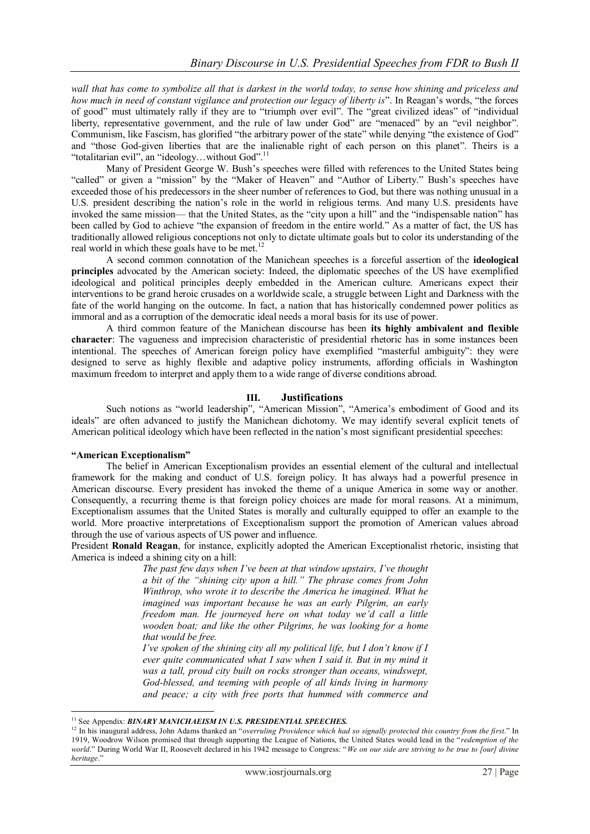*wall that has come to symbolize all that is darkest in the world today, to sense how shining and priceless and how much in need of constant vigilance and protection our legacy of liberty is*". In Reagan's words, "the forces of good" must ultimately rally if they are to "triumph over evil". The "great civilized ideas" of "individual liberty, representative government, and the rule of law under God" are "menaced" by an "evil neighbor". Communism, like Fascism, has glorified "the arbitrary power of the state" while denying "the existence of God" and "those God-given liberties that are the inalienable right of each person on this planet". Theirs is a "totalitarian evil", an "ideology...without God".<sup>11</sup>

Many of President George W. Bush's speeches were filled with references to the United States being "called" or given a "mission" by the "Maker of Heaven" and "Author of Liberty." Bush's speeches have exceeded those of his predecessors in the sheer number of references to God, but there was nothing unusual in a U.S. president describing the nation's role in the world in religious terms. And many U.S. presidents have invoked the same mission— that the United States, as the "city upon a hill" and the "indispensable nation" has been called by God to achieve "the expansion of freedom in the entire world." As a matter of fact, the US has traditionally allowed religious conceptions not only to dictate ultimate goals but to color its understanding of the real world in which these goals have to be met.<sup>12</sup>

A second common connotation of the Manichean speeches is a forceful assertion of the **ideological principles** advocated by the American society: Indeed, the diplomatic speeches of the US have exemplified ideological and political principles deeply embedded in the American culture. Americans expect their interventions to be grand heroic crusades on a worldwide scale, a struggle between Light and Darkness with the fate of the world hanging on the outcome. In fact, a nation that has historically condemned power politics as immoral and as a corruption of the democratic ideal needs a moral basis for its use of power.

A third common feature of the Manichean discourse has been **its highly ambivalent and flexible character**: The vagueness and imprecision characteristic of presidential rhetoric has in some instances been intentional. The speeches of American foreign policy have exemplified "masterful ambiguity": they were designed to serve as highly flexible and adaptive policy instruments, affording officials in Washington maximum freedom to interpret and apply them to a wide range of diverse conditions abroad.

#### **III. Justifications**

Such notions as "world leadership", "American Mission", "America's embodiment of Good and its ideals" are often advanced to justify the Manichean dichotomy. We may identify several explicit tenets of American political ideology which have been reflected in the nation's most significant presidential speeches:

#### **"American Exceptionalism"**

The belief in American Exceptionalism provides an essential element of the cultural and intellectual framework for the making and conduct of U.S. foreign policy. It has always had a powerful presence in American discourse. Every president has invoked the theme of a unique America in some way or another. Consequently, a recurring theme is that foreign policy choices are made for moral reasons. At a minimum, Exceptionalism assumes that the United States is morally and culturally equipped to offer an example to the world. More proactive interpretations of Exceptionalism support the promotion of American values abroad through the use of various aspects of US power and influence.

President **Ronald Reagan**, for instance, explicitly adopted the American Exceptionalist rhetoric, insisting that America is indeed a shining city on a hill:

*The past few days when I've been at that window upstairs, I've thought a bit of the "shining city upon a hill." The phrase comes from John Winthrop, who wrote it to describe the America he imagined. What he imagined was important because he was an early Pilgrim, an early freedom man. He journeyed here on what today we'd call a little wooden boat; and like the other Pilgrims, he was looking for a home that would be free.* 

*I've spoken of the shining city all my political life, but I don't know if I ever quite communicated what I saw when I said it. But in my mind it was a tall, proud city built on rocks stronger than oceans, windswept, God-blessed, and teeming with people of all kinds living in harmony and peace; a city with free ports that hummed with commerce and* 

<sup>&</sup>lt;u>.</u> <sup>11</sup> See Appendix: *BINARY MANICHAEISM IN U.S. PRESIDENTIAL SPEECHES.* 

<sup>&</sup>lt;sup>12</sup> In his inaugural address, John Adams thanked an "*overruling Providence which had so signally protected this country from the first*." In 1919, Woodrow Wilson promised that through supporting the League of Nations, the United States would lead in the "*redemption of the world*.‖ During World War II, Roosevelt declared in his 1942 message to Congress: ―*We on our side are striving to be true to [our] divine heritage*.‖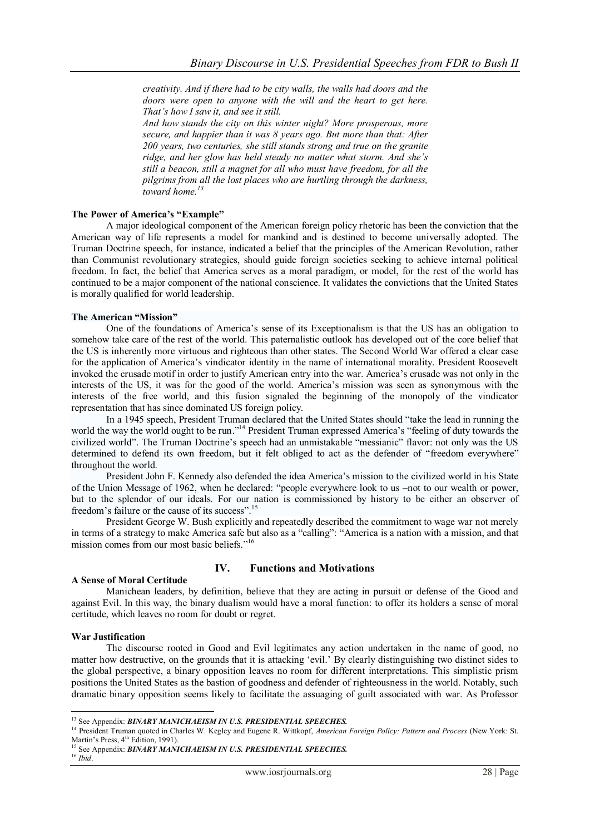*creativity. And if there had to be city walls, the walls had doors and the doors were open to anyone with the will and the heart to get here. That's how I saw it, and see it still.* 

*And how stands the city on this winter night? More prosperous, more secure, and happier than it was 8 years ago. But more than that: After 200 years, two centuries, she still stands strong and true on the granite ridge, and her glow has held steady no matter what storm. And she's still a beacon, still a magnet for all who must have freedom, for all the pilgrims from all the lost places who are hurtling through the darkness, toward home.<sup>13</sup>*

#### **The Power of America's "Example"**

A major ideological component of the American foreign policy rhetoric has been the conviction that the American way of life represents a model for mankind and is destined to become universally adopted. The Truman Doctrine speech, for instance, indicated a belief that the principles of the American Revolution, rather than Communist revolutionary strategies, should guide foreign societies seeking to achieve internal political freedom. In fact, the belief that America serves as a moral paradigm, or model, for the rest of the world has continued to be a major component of the national conscience. It validates the convictions that the United States is morally qualified for world leadership.

#### **The American "Mission"**

One of the foundations of America's sense of its Exceptionalism is that the US has an obligation to somehow take care of the rest of the world. This paternalistic outlook has developed out of the core belief that the US is inherently more virtuous and righteous than other states. The Second World War offered a clear case for the application of America's vindicator identity in the name of international morality. President Roosevelt invoked the crusade motif in order to justify American entry into the war. America's crusade was not only in the interests of the US, it was for the good of the world. America's mission was seen as synonymous with the interests of the free world, and this fusion signaled the beginning of the monopoly of the vindicator representation that has since dominated US foreign policy.

In a 1945 speech, President Truman declared that the United States should "take the lead in running the world the way the world ought to be run.<sup>14</sup> President Truman expressed America's "feeling of duty towards the civilized world". The Truman Doctrine's speech had an unmistakable "messianic" flavor: not only was the US determined to defend its own freedom, but it felt obliged to act as the defender of "freedom everywhere" throughout the world.

President John F. Kennedy also defended the idea America's mission to the civilized world in his State of the Union Message of 1962, when he declared: "people everywhere look to us –not to our wealth or power, but to the splendor of our ideals. For our nation is commissioned by history to be either an observer of freedom's failure or the cause of its success".<sup>15</sup>

President George W. Bush explicitly and repeatedly described the commitment to wage war not merely in terms of a strategy to make America safe but also as a "calling": "America is a nation with a mission, and that mission comes from our most basic beliefs."<sup>16</sup>

# **A Sense of Moral Certitude**

# **IV. Functions and Motivations**

Manichean leaders, by definition, believe that they are acting in pursuit or defense of the Good and against Evil. In this way, the binary dualism would have a moral function: to offer its holders a sense of moral certitude, which leaves no room for doubt or regret.

#### **War Justification**

The discourse rooted in Good and Evil legitimates any action undertaken in the name of good, no matter how destructive, on the grounds that it is attacking 'evil.' By clearly distinguishing two distinct sides to the global perspective, a binary opposition leaves no room for different interpretations. This simplistic prism positions the United States as the bastion of goodness and defender of righteousness in the world. Notably, such dramatic binary opposition seems likely to facilitate the assuaging of guilt associated with war. As Professor

<sup>15</sup> See Appendix: *BINARY MANICHAEISM IN U.S. PRESIDENTIAL SPEECHES.* 

<sup>&</sup>lt;u>.</u> <sup>13</sup> See Appendix: *BINARY MANICHAEISM IN U.S. PRESIDENTIAL SPEECHES.* 

<sup>14</sup> President Truman quoted in Charles W. Kegley and Eugene R. Wittkopf, *American Foreign Policy: Pattern and Process* (New York: St. Martin's Press, 4<sup>th</sup> Edition, 1991).

<sup>16</sup> *Ibid*.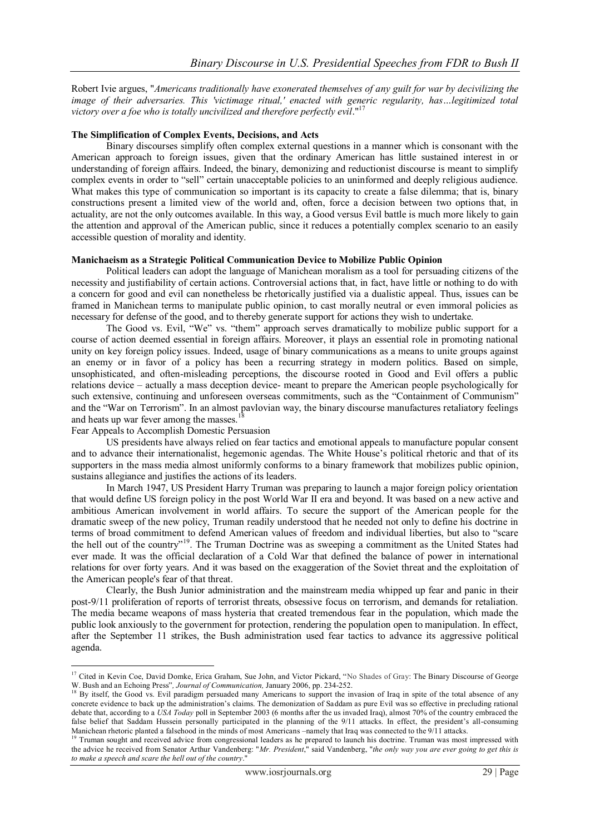Robert Ivie argues, "*Americans traditionally have exonerated themselves of any guilt for war by decivilizing the image of their adversaries. This 'victimage ritual,' enacted with generic regularity, has…legitimized total victory over a foe who is totally uncivilized and therefore perfectly evil*."<sup>17</sup>

#### **The Simplification of Complex Events, Decisions, and Acts**

Binary discourses simplify often complex external questions in a manner which is consonant with the American approach to foreign issues, given that the ordinary American has little sustained interest in or understanding of foreign affairs. Indeed, the binary, demonizing and reductionist discourse is meant to simplify complex events in order to "sell" certain unacceptable policies to an uninformed and deeply religious audience. What makes this type of communication so important is its capacity to create a false dilemma; that is, binary constructions present a limited view of the world and, often, force a decision between two options that, in actuality, are not the only outcomes available. In this way, a Good versus Evil battle is much more likely to gain the attention and approval of the American public, since it reduces a potentially complex scenario to an easily accessible question of morality and identity.

#### **Manichaeism as a Strategic Political Communication Device to Mobilize Public Opinion**

Political leaders can adopt the language of Manichean moralism as a tool for persuading citizens of the necessity and justifiability of certain actions. Controversial actions that, in fact, have little or nothing to do with a concern for good and evil can nonetheless be rhetorically justified via a dualistic appeal. Thus, issues can be framed in Manichean terms to manipulate public opinion, to cast morally neutral or even immoral policies as necessary for defense of the good, and to thereby generate support for actions they wish to undertake.

The Good vs. Evil, "We" vs. "them" approach serves dramatically to mobilize public support for a course of action deemed essential in foreign affairs. Moreover, it plays an essential role in promoting national unity on key foreign policy issues. Indeed, usage of binary communications as a means to unite groups against an enemy or in favor of a policy has been a recurring strategy in modern politics. Based on simple, unsophisticated, and often-misleading perceptions, the discourse rooted in Good and Evil offers a public relations device – actually a mass deception device- meant to prepare the American people psychologically for such extensive, continuing and unforeseen overseas commitments, such as the "Containment of Communism" and the "War on Terrorism". In an almost pavlovian way, the binary discourse manufactures retaliatory feelings and heats up war fever among the masses.

Fear Appeals to Accomplish Domestic Persuasion

<u>.</u>

US presidents have always relied on fear tactics and emotional appeals to manufacture popular consent and to advance their internationalist, hegemonic agendas. The White House's political rhetoric and that of its supporters in the mass media almost uniformly conforms to a binary framework that mobilizes public opinion, sustains allegiance and justifies the actions of its leaders.

In March 1947, US President Harry Truman was preparing to launch a major foreign policy orientation that would define US foreign policy in the post World War II era and beyond. It was based on a new active and ambitious American involvement in world affairs. To secure the support of the American people for the dramatic sweep of the new policy, Truman readily understood that he needed not only to define his doctrine in terms of broad commitment to defend American values of freedom and individual liberties, but also to "scare the hell out of the country"<sup>19</sup>. The Truman Doctrine was as sweeping a commitment as the United States had ever made. It was the official declaration of a Cold War that defined the balance of power in international relations for over forty years. And it was based on the exaggeration of the Soviet threat and the exploitation of the American people's fear of that threat.

Clearly, the Bush Junior administration and the mainstream media whipped up fear and panic in their post-9/11 proliferation of reports of terrorist threats, obsessive focus on terrorism, and demands for retaliation. The media became weapons of mass hysteria that created tremendous fear in the population, which made the public look anxiously to the government for protection, rendering the population open to manipulation. In effect, after the September 11 strikes, the Bush administration used fear tactics to advance its aggressive political agenda.

<sup>&</sup>lt;sup>17</sup> Cited in Kevin Coe, David Domke, Erica Graham, Sue John, and Victor Pickard, "No Shades of Gray: The Binary Discourse of George W. Bush and an Echoing Press", Journal of Communication, January 2006, pp. 234-252.

<sup>&</sup>lt;sup>18</sup> By itself, the Good vs. Evil paradigm persuaded many Americans to support the invasion of Iraq in spite of the total absence of any concrete evidence to back up the administration's claims. The demonization of Saddam as pure Evil was so effective in precluding rational debate that, according to a *USA Today* poll in September 2003 (6 months after the us invaded Iraq), almost 70% of the country embraced the false belief that Saddam Hussein personally participated in the planning of the 9/11 attacks. In effect, the president's all-consuming Manichean rhetoric planted a falsehood in the minds of most Americans –namely that Iraq was connected to the 9/11 attacks.

<sup>19</sup> Truman sought and received advice from congressional leaders as he prepared to launch his doctrine. Truman was most impressed with the advice he received from Senator Arthur Vandenberg: "*Mr. President*," said Vandenberg, "*the only way you are ever going to get this is to make a speech and scare the hell out of the country*."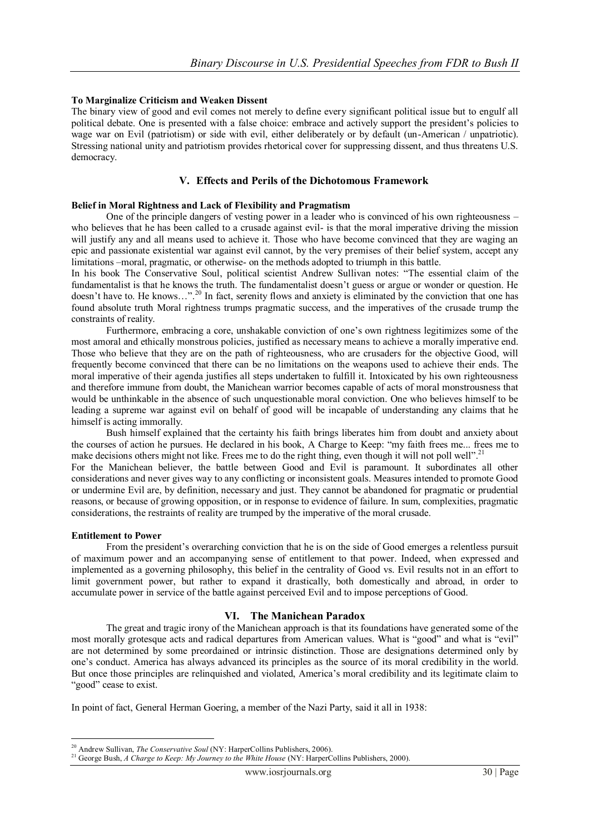#### **To Marginalize Criticism and Weaken Dissent**

The binary view of good and evil comes not merely to define every significant political issue but to engulf all political debate. One is presented with a false choice: embrace and actively support the president's policies to wage war on Evil (patriotism) or side with evil, either deliberately or by default (un-American / unpatriotic). Stressing national unity and patriotism provides rhetorical cover for suppressing dissent, and thus threatens U.S. democracy.

## **V. Effects and Perils of the Dichotomous Framework**

#### **Belief in Moral Rightness and Lack of Flexibility and Pragmatism**

One of the principle dangers of vesting power in a leader who is convinced of his own righteousness – who believes that he has been called to a crusade against evil- is that the moral imperative driving the mission will justify any and all means used to achieve it. Those who have become convinced that they are waging an epic and passionate existential war against evil cannot, by the very premises of their belief system, accept any limitations –moral, pragmatic, or otherwise- on the methods adopted to triumph in this battle.

In his book The Conservative Soul, political scientist Andrew Sullivan notes: "The essential claim of the fundamentalist is that he knows the truth. The fundamentalist doesn't guess or argue or wonder or question. He doesn't have to. He knows...".<sup>20</sup> In fact, serenity flows and anxiety is eliminated by the conviction that one has found absolute truth Moral rightness trumps pragmatic success, and the imperatives of the crusade trump the constraints of reality.

Furthermore, embracing a core, unshakable conviction of one's own rightness legitimizes some of the most amoral and ethically monstrous policies, justified as necessary means to achieve a morally imperative end. Those who believe that they are on the path of righteousness, who are crusaders for the objective Good, will frequently become convinced that there can be no limitations on the weapons used to achieve their ends. The moral imperative of their agenda justifies all steps undertaken to fulfill it. Intoxicated by his own righteousness and therefore immune from doubt, the Manichean warrior becomes capable of acts of moral monstrousness that would be unthinkable in the absence of such unquestionable moral conviction. One who believes himself to be leading a supreme war against evil on behalf of good will be incapable of understanding any claims that he himself is acting immorally.

Bush himself explained that the certainty his faith brings liberates him from doubt and anxiety about the courses of action he pursues. He declared in his book, A Charge to Keep: "my faith frees me... frees me to make decisions others might not like. Frees me to do the right thing, even though it will not poll well".<sup>21</sup>

For the Manichean believer, the battle between Good and Evil is paramount. It subordinates all other considerations and never gives way to any conflicting or inconsistent goals. Measures intended to promote Good or undermine Evil are, by definition, necessary and just. They cannot be abandoned for pragmatic or prudential reasons, or because of growing opposition, or in response to evidence of failure. In sum, complexities, pragmatic considerations, the restraints of reality are trumped by the imperative of the moral crusade.

#### **Entitlement to Power**

From the president's overarching conviction that he is on the side of Good emerges a relentless pursuit of maximum power and an accompanying sense of entitlement to that power. Indeed, when expressed and implemented as a governing philosophy, this belief in the centrality of Good vs. Evil results not in an effort to limit government power, but rather to expand it drastically, both domestically and abroad, in order to accumulate power in service of the battle against perceived Evil and to impose perceptions of Good.

#### **VI. The Manichean Paradox**

The great and tragic irony of the Manichean approach is that its foundations have generated some of the most morally grotesque acts and radical departures from American values. What is "good" and what is "evil" are not determined by some preordained or intrinsic distinction. Those are designations determined only by one's conduct. America has always advanced its principles as the source of its moral credibility in the world. But once those principles are relinquished and violated, America's moral credibility and its legitimate claim to "good" cease to exist.

In point of fact, General Herman Goering, a member of the Nazi Party, said it all in 1938:

<sup>1</sup> <sup>20</sup> Andrew Sullivan, *The Conservative Soul* (NY: HarperCollins Publishers, 2006).

<sup>21</sup> George Bush, *A Charge to Keep: My Journey to the White House* (NY: HarperCollins Publishers, 2000).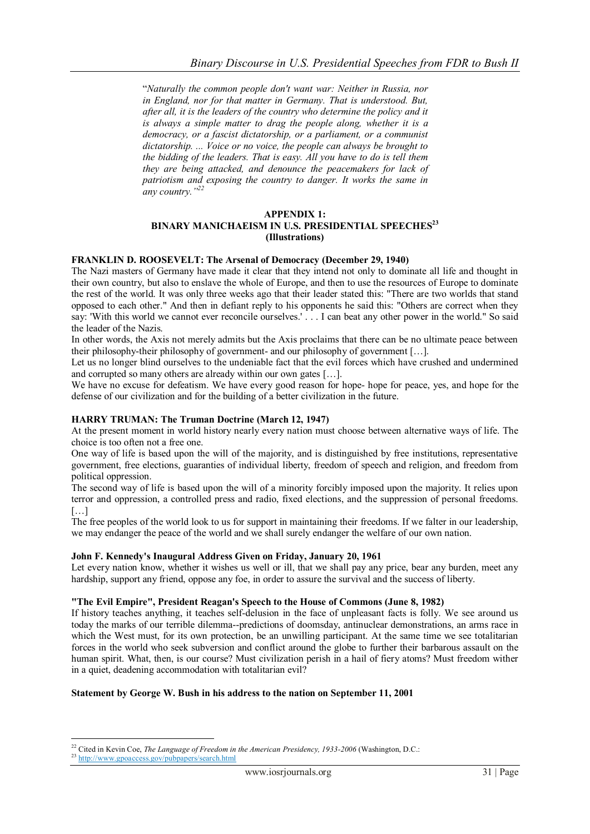―*Naturally the common people don't want war: Neither in Russia, nor in England, nor for that matter in Germany. That is understood. But, after all, it is the leaders of the country who determine the policy and it is always a simple matter to drag the people along, whether it is a democracy, or a fascist dictatorship, or a parliament, or a communist dictatorship. ... Voice or no voice, the people can always be brought to the bidding of the leaders. That is easy. All you have to do is tell them they are being attacked, and denounce the peacemakers for lack of patriotism and exposing the country to danger. It works the same in any country."<sup>22</sup>*

#### **APPENDIX 1:**

## **BINARY MANICHAEISM IN U.S. PRESIDENTIAL SPEECHES<sup>23</sup> (Illustrations)**

#### **FRANKLIN D. ROOSEVELT: The Arsenal of Democracy (December 29, 1940)**

The Nazi masters of Germany have made it clear that they intend not only to dominate all life and thought in their own country, but also to enslave the whole of Europe, and then to use the resources of Europe to dominate the rest of the world. It was only three weeks ago that their leader stated this: "There are two worlds that stand opposed to each other." And then in defiant reply to his opponents he said this: "Others are correct when they say: 'With this world we cannot ever reconcile ourselves.' . . . I can beat any other power in the world." So said the leader of the Nazis.

In other words, the Axis not merely admits but the Axis proclaims that there can be no ultimate peace between their philosophy-their philosophy of government- and our philosophy of government […].

Let us no longer blind ourselves to the undeniable fact that the evil forces which have crushed and undermined and corrupted so many others are already within our own gates […].

We have no excuse for defeatism. We have every good reason for hope- hope for peace, yes, and hope for the defense of our civilization and for the building of a better civilization in the future.

#### **HARRY TRUMAN: The Truman Doctrine (March 12, 1947)**

At the present moment in world history nearly every nation must choose between alternative ways of life. The choice is too often not a free one.

One way of life is based upon the will of the majority, and is distinguished by free institutions, representative government, free elections, guaranties of individual liberty, freedom of speech and religion, and freedom from political oppression.

The second way of life is based upon the will of a minority forcibly imposed upon the majority. It relies upon terror and oppression, a controlled press and radio, fixed elections, and the suppression of personal freedoms. […]

The free peoples of the world look to us for support in maintaining their freedoms. If we falter in our leadership, we may endanger the peace of the world and we shall surely endanger the welfare of our own nation.

#### **John F. Kennedy's Inaugural Address Given on Friday, January 20, 1961**

Let every nation know, whether it wishes us well or ill, that we shall pay any price, bear any burden, meet any hardship, support any friend, oppose any foe, in order to assure the survival and the success of liberty.

#### **"The Evil Empire", President Reagan's Speech to the House of Commons (June 8, 1982)**

If history teaches anything, it teaches self-delusion in the face of unpleasant facts is folly. We see around us today the marks of our terrible dilemma--predictions of doomsday, antinuclear demonstrations, an arms race in which the West must, for its own protection, be an unwilling participant. At the same time we see totalitarian forces in the world who seek subversion and conflict around the globe to further their barbarous assault on the human spirit. What, then, is our course? Must civilization perish in a hail of fiery atoms? Must freedom wither in a quiet, deadening accommodation with totalitarian evil?

#### **Statement by George W. Bush in his address to the nation on September 11, 2001**

<sup>1</sup> <sup>22</sup> Cited in Kevin Coe, *The Language of Freedom in the American Presidency, 1933-2006* (Washington, D.C.:

<sup>23</sup> <http://www.gpoaccess.gov/pubpapers/search.html>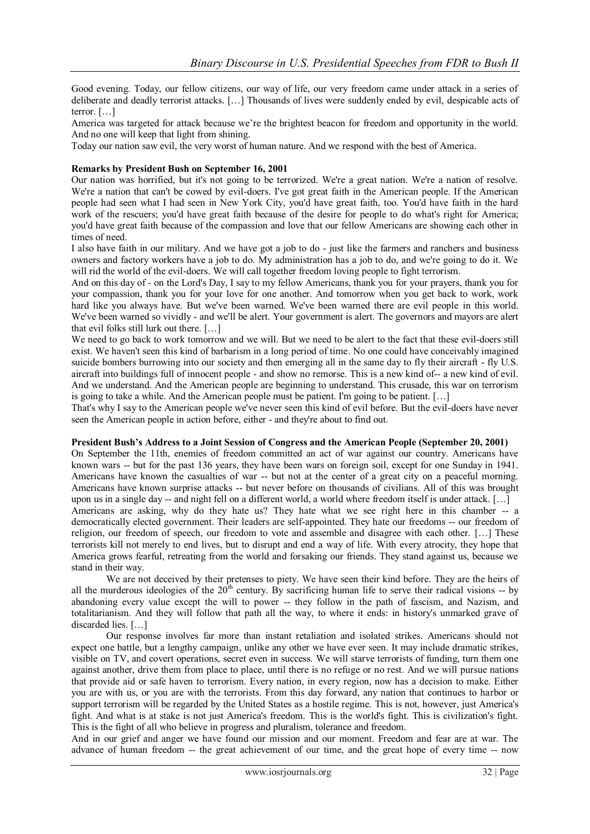Good evening. Today, our fellow citizens, our way of life, our very freedom came under attack in a series of deliberate and deadly terrorist attacks. […] Thousands of lives were suddenly ended by evil, despicable acts of terror. […]

America was targeted for attack because we're the brightest beacon for freedom and opportunity in the world. And no one will keep that light from shining.

Today our nation saw evil, the very worst of human nature. And we respond with the best of America.

#### **Remarks by President Bush on September 16, 2001**

Our nation was horrified, but it's not going to be terrorized. We're a great nation. We're a nation of resolve. We're a nation that can't be cowed by evil-doers. I've got great faith in the American people. If the American people had seen what I had seen in New York City, you'd have great faith, too. You'd have faith in the hard work of the rescuers; you'd have great faith because of the desire for people to do what's right for America; you'd have great faith because of the compassion and love that our fellow Americans are showing each other in times of need.

I also have faith in our military. And we have got a job to do - just like the farmers and ranchers and business owners and factory workers have a job to do. My administration has a job to do, and we're going to do it. We will rid the world of the evil-doers. We will call together freedom loving people to fight terrorism.

And on this day of - on the Lord's Day, I say to my fellow Americans, thank you for your prayers, thank you for your compassion, thank you for your love for one another. And tomorrow when you get back to work, work hard like you always have. But we've been warned. We've been warned there are evil people in this world. We've been warned so vividly - and we'll be alert. Your government is alert. The governors and mayors are alert that evil folks still lurk out there. […]

We need to go back to work tomorrow and we will. But we need to be alert to the fact that these evil-doers still exist. We haven't seen this kind of barbarism in a long period of time. No one could have conceivably imagined suicide bombers burrowing into our society and then emerging all in the same day to fly their aircraft - fly U.S. aircraft into buildings full of innocent people - and show no remorse. This is a new kind of-- a new kind of evil. And we understand. And the American people are beginning to understand. This crusade, this war on terrorism is going to take a while. And the American people must be patient. I'm going to be patient. […]

That's why I say to the American people we've never seen this kind of evil before. But the evil-doers have never seen the American people in action before, either - and they're about to find out.

#### **President Bush's Address to a Joint Session of Congress and the American People (September 20, 2001)**

On September the 11th, enemies of freedom committed an act of war against our country. Americans have known wars -- but for the past 136 years, they have been wars on foreign soil, except for one Sunday in 1941. Americans have known the casualties of war -- but not at the center of a great city on a peaceful morning. Americans have known surprise attacks -- but never before on thousands of civilians. All of this was brought upon us in a single day -- and night fell on a different world, a world where freedom itself is under attack. […] Americans are asking, why do they hate us? They hate what we see right here in this chamber -- a democratically elected government. Their leaders are self-appointed. They hate our freedoms -- our freedom of religion, our freedom of speech, our freedom to vote and assemble and disagree with each other. […] These terrorists kill not merely to end lives, but to disrupt and end a way of life. With every atrocity, they hope that America grows fearful, retreating from the world and forsaking our friends. They stand against us, because we stand in their way.

We are not deceived by their pretenses to piety. We have seen their kind before. They are the heirs of all the murderous ideologies of the  $20<sup>th</sup>$  century. By sacrificing human life to serve their radical visions -- by abandoning every value except the will to power -- they follow in the path of fascism, and Nazism, and totalitarianism. And they will follow that path all the way, to where it ends: in history's unmarked grave of discarded lies. […]

Our response involves far more than instant retaliation and isolated strikes. Americans should not expect one battle, but a lengthy campaign, unlike any other we have ever seen. It may include dramatic strikes, visible on TV, and covert operations, secret even in success. We will starve terrorists of funding, turn them one against another, drive them from place to place, until there is no refuge or no rest. And we will pursue nations that provide aid or safe haven to terrorism. Every nation, in every region, now has a decision to make. Either you are with us, or you are with the terrorists. From this day forward, any nation that continues to harbor or support terrorism will be regarded by the United States as a hostile regime. This is not, however, just America's fight. And what is at stake is not just America's freedom. This is the world's fight. This is civilization's fight. This is the fight of all who believe in progress and pluralism, tolerance and freedom.

And in our grief and anger we have found our mission and our moment. Freedom and fear are at war. The advance of human freedom -- the great achievement of our time, and the great hope of every time -- now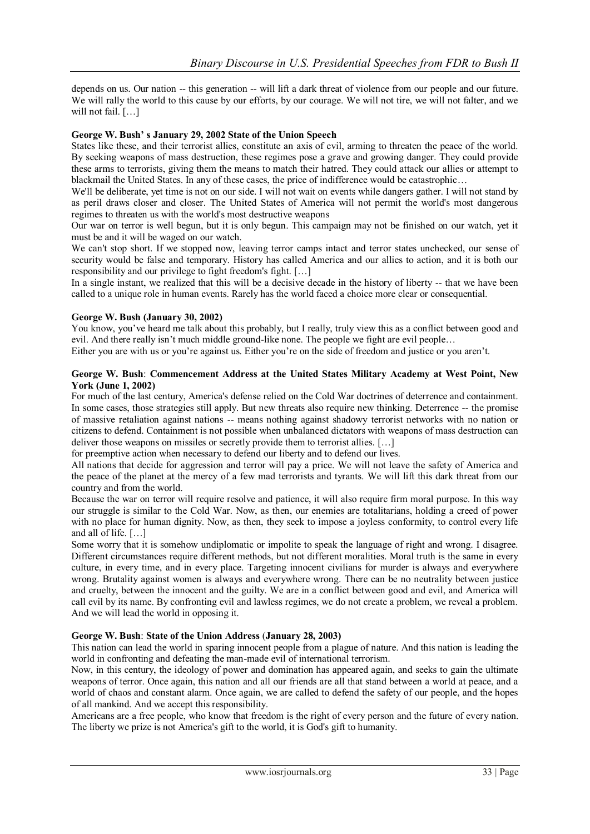depends on us. Our nation -- this generation -- will lift a dark threat of violence from our people and our future. We will rally the world to this cause by our efforts, by our courage. We will not tire, we will not falter, and we will not fail. [...]

#### **George W. Bush' s January 29, 2002 State of the Union Speech**

States like these, and their terrorist allies, constitute an axis of evil, arming to threaten the peace of the world. By seeking weapons of mass destruction, these regimes pose a grave and growing danger. They could provide these arms to terrorists, giving them the means to match their hatred. They could attack our allies or attempt to blackmail the United States. In any of these cases, the price of indifference would be catastrophic…

We'll be deliberate, yet time is not on our side. I will not wait on events while dangers gather. I will not stand by as peril draws closer and closer. The United States of America will not permit the world's most dangerous regimes to threaten us with the world's most destructive weapons

Our war on terror is well begun, but it is only begun. This campaign may not be finished on our watch, yet it must be and it will be waged on our watch.

We can't stop short. If we stopped now, leaving terror camps intact and terror states unchecked, our sense of security would be false and temporary. History has called America and our allies to action, and it is both our responsibility and our privilege to fight freedom's fight. […]

In a single instant, we realized that this will be a decisive decade in the history of liberty -- that we have been called to a unique role in human events. Rarely has the world faced a choice more clear or consequential.

#### **George W. Bush (January 30, 2002)**

You know, you've heard me talk about this probably, but I really, truly view this as a conflict between good and evil. And there really isn't much middle ground-like none. The people we fight are evil people…

Either you are with us or you're against us. Either you're on the side of freedom and justice or you aren't.

#### **George W. Bush**: **Commencement Address at the United States Military Academy at West Point, New York (June 1, 2002)**

For much of the last century, America's defense relied on the Cold War doctrines of deterrence and containment. In some cases, those strategies still apply. But new threats also require new thinking. Deterrence -- the promise of massive retaliation against nations -- means nothing against shadowy terrorist networks with no nation or citizens to defend. Containment is not possible when unbalanced dictators with weapons of mass destruction can deliver those weapons on missiles or secretly provide them to terrorist allies. […]

for preemptive action when necessary to defend our liberty and to defend our lives.

All nations that decide for aggression and terror will pay a price. We will not leave the safety of America and the peace of the planet at the mercy of a few mad terrorists and tyrants. We will lift this dark threat from our country and from the world.

Because the war on terror will require resolve and patience, it will also require firm moral purpose. In this way our struggle is similar to the Cold War. Now, as then, our enemies are totalitarians, holding a creed of power with no place for human dignity. Now, as then, they seek to impose a joyless conformity, to control every life and all of life. […]

Some worry that it is somehow undiplomatic or impolite to speak the language of right and wrong. I disagree. Different circumstances require different methods, but not different moralities. Moral truth is the same in every culture, in every time, and in every place. Targeting innocent civilians for murder is always and everywhere wrong. Brutality against women is always and everywhere wrong. There can be no neutrality between justice and cruelty, between the innocent and the guilty. We are in a conflict between good and evil, and America will call evil by its name. By confronting evil and lawless regimes, we do not create a problem, we reveal a problem. And we will lead the world in opposing it.

#### **George W. Bush**: **State of the Union Address** (**January 28, 2003)**

This nation can lead the world in sparing innocent people from a plague of nature. And this nation is leading the world in confronting and defeating the man-made evil of international terrorism.

Now, in this century, the ideology of power and domination has appeared again, and seeks to gain the ultimate weapons of terror. Once again, this nation and all our friends are all that stand between a world at peace, and a world of chaos and constant alarm. Once again, we are called to defend the safety of our people, and the hopes of all mankind. And we accept this responsibility.

Americans are a free people, who know that freedom is the right of every person and the future of every nation. The liberty we prize is not America's gift to the world, it is God's gift to humanity.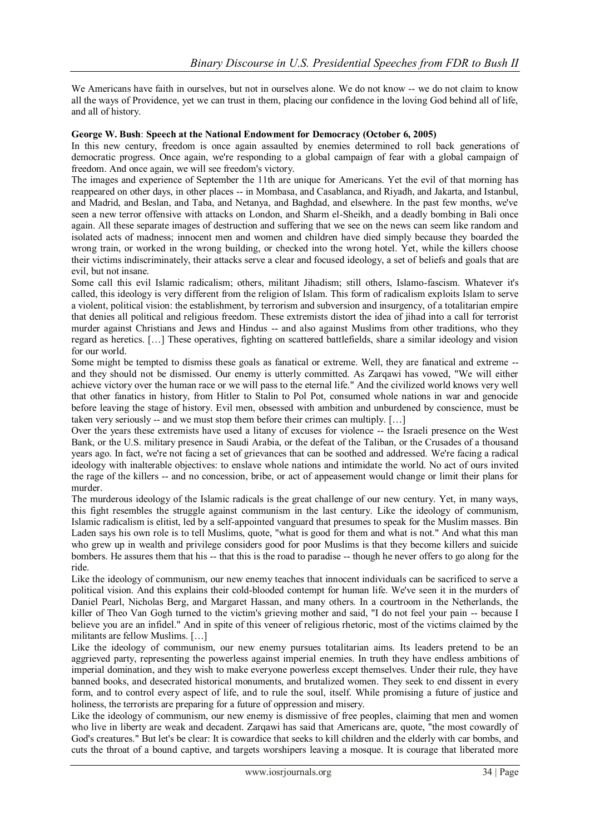We Americans have faith in ourselves, but not in ourselves alone. We do not know -- we do not claim to know all the ways of Providence, yet we can trust in them, placing our confidence in the loving God behind all of life, and all of history.

## **George W. Bush**: **Speech at the National Endowment for Democracy (October 6, 2005)**

In this new century, freedom is once again assaulted by enemies determined to roll back generations of democratic progress. Once again, we're responding to a global campaign of fear with a global campaign of freedom. And once again, we will see freedom's victory.

The images and experience of September the 11th are unique for Americans. Yet the evil of that morning has reappeared on other days, in other places -- in Mombasa, and Casablanca, and Riyadh, and Jakarta, and Istanbul, and Madrid, and Beslan, and Taba, and Netanya, and Baghdad, and elsewhere. In the past few months, we've seen a new terror offensive with attacks on London, and Sharm el-Sheikh, and a deadly bombing in Bali once again. All these separate images of destruction and suffering that we see on the news can seem like random and isolated acts of madness; innocent men and women and children have died simply because they boarded the wrong train, or worked in the wrong building, or checked into the wrong hotel. Yet, while the killers choose their victims indiscriminately, their attacks serve a clear and focused ideology, a set of beliefs and goals that are evil, but not insane.

Some call this evil Islamic radicalism; others, militant Jihadism; still others, Islamo-fascism. Whatever it's called, this ideology is very different from the religion of Islam. This form of radicalism exploits Islam to serve a violent, political vision: the establishment, by terrorism and subversion and insurgency, of a totalitarian empire that denies all political and religious freedom. These extremists distort the idea of jihad into a call for terrorist murder against Christians and Jews and Hindus -- and also against Muslims from other traditions, who they regard as heretics. […] These operatives, fighting on scattered battlefields, share a similar ideology and vision for our world.

Some might be tempted to dismiss these goals as fanatical or extreme. Well, they are fanatical and extreme - and they should not be dismissed. Our enemy is utterly committed. As Zarqawi has vowed, "We will either achieve victory over the human race or we will pass to the eternal life." And the civilized world knows very well that other fanatics in history, from Hitler to Stalin to Pol Pot, consumed whole nations in war and genocide before leaving the stage of history. Evil men, obsessed with ambition and unburdened by conscience, must be taken very seriously -- and we must stop them before their crimes can multiply. […]

Over the years these extremists have used a litany of excuses for violence -- the Israeli presence on the West Bank, or the U.S. military presence in Saudi Arabia, or the defeat of the Taliban, or the Crusades of a thousand years ago. In fact, we're not facing a set of grievances that can be soothed and addressed. We're facing a radical ideology with inalterable objectives: to enslave whole nations and intimidate the world. No act of ours invited the rage of the killers -- and no concession, bribe, or act of appeasement would change or limit their plans for murder.

The murderous ideology of the Islamic radicals is the great challenge of our new century. Yet, in many ways, this fight resembles the struggle against communism in the last century. Like the ideology of communism, Islamic radicalism is elitist, led by a self-appointed vanguard that presumes to speak for the Muslim masses. Bin Laden says his own role is to tell Muslims, quote, "what is good for them and what is not." And what this man who grew up in wealth and privilege considers good for poor Muslims is that they become killers and suicide bombers. He assures them that his -- that this is the road to paradise -- though he never offers to go along for the ride.

Like the ideology of communism, our new enemy teaches that innocent individuals can be sacrificed to serve a political vision. And this explains their cold-blooded contempt for human life. We've seen it in the murders of Daniel Pearl, Nicholas Berg, and Margaret Hassan, and many others. In a courtroom in the Netherlands, the killer of Theo Van Gogh turned to the victim's grieving mother and said, "I do not feel your pain -- because I believe you are an infidel." And in spite of this veneer of religious rhetoric, most of the victims claimed by the militants are fellow Muslims. […]

Like the ideology of communism, our new enemy pursues totalitarian aims. Its leaders pretend to be an aggrieved party, representing the powerless against imperial enemies. In truth they have endless ambitions of imperial domination, and they wish to make everyone powerless except themselves. Under their rule, they have banned books, and desecrated historical monuments, and brutalized women. They seek to end dissent in every form, and to control every aspect of life, and to rule the soul, itself. While promising a future of justice and holiness, the terrorists are preparing for a future of oppression and misery.

Like the ideology of communism, our new enemy is dismissive of free peoples, claiming that men and women who live in liberty are weak and decadent. Zarqawi has said that Americans are, quote, "the most cowardly of God's creatures." But let's be clear: It is cowardice that seeks to kill children and the elderly with car bombs, and cuts the throat of a bound captive, and targets worshipers leaving a mosque. It is courage that liberated more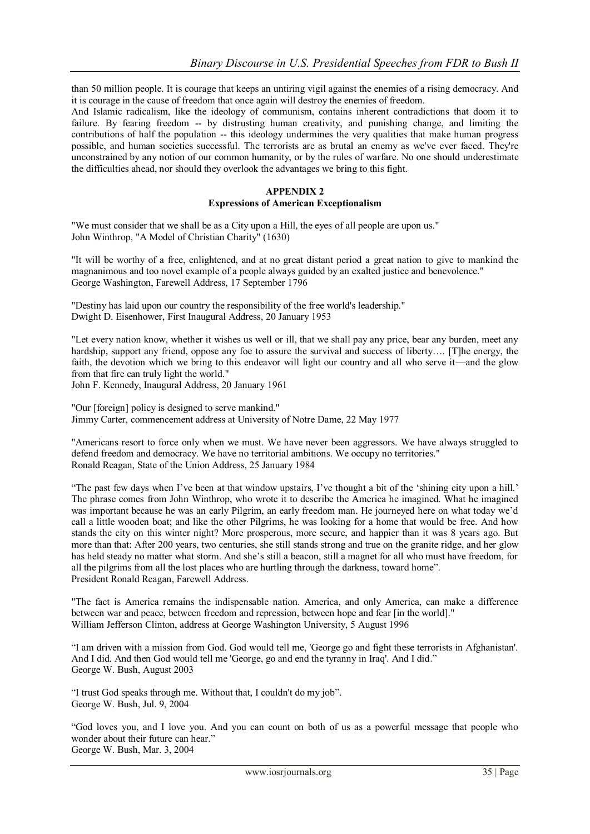than 50 million people. It is courage that keeps an untiring vigil against the enemies of a rising democracy. And it is courage in the cause of freedom that once again will destroy the enemies of freedom.

And Islamic radicalism, like the ideology of communism, contains inherent contradictions that doom it to failure. By fearing freedom -- by distrusting human creativity, and punishing change, and limiting the contributions of half the population -- this ideology undermines the very qualities that make human progress possible, and human societies successful. The terrorists are as brutal an enemy as we've ever faced. They're unconstrained by any notion of our common humanity, or by the rules of warfare. No one should underestimate the difficulties ahead, nor should they overlook the advantages we bring to this fight.

# **APPENDIX 2**

# **Expressions of American Exceptionalism**

"We must consider that we shall be as a City upon a Hill, the eyes of all people are upon us." John Winthrop, "A Model of Christian Charity" (1630)

"It will be worthy of a free, enlightened, and at no great distant period a great nation to give to mankind the magnanimous and too novel example of a people always guided by an exalted justice and benevolence." George Washington, Farewell Address, 17 September 1796

"Destiny has laid upon our country the responsibility of the free world's leadership." Dwight D. Eisenhower, First Inaugural Address, 20 January 1953

"Let every nation know, whether it wishes us well or ill, that we shall pay any price, bear any burden, meet any hardship, support any friend, oppose any foe to assure the survival and success of liberty.... [T]he energy, the faith, the devotion which we bring to this endeavor will light our country and all who serve it—and the glow from that fire can truly light the world."

John F. Kennedy, Inaugural Address, 20 January 1961

"Our [foreign] policy is designed to serve mankind." Jimmy Carter, commencement address at University of Notre Dame, 22 May 1977

"Americans resort to force only when we must. We have never been aggressors. We have always struggled to defend freedom and democracy. We have no territorial ambitions. We occupy no territories." Ronald Reagan, State of the Union Address, 25 January 1984

―The past few days when I've been at that window upstairs, I've thought a bit of the ‗shining city upon a hill.' The phrase comes from John Winthrop, who wrote it to describe the America he imagined. What he imagined was important because he was an early Pilgrim, an early freedom man. He journeyed here on what today we'd call a little wooden boat; and like the other Pilgrims, he was looking for a home that would be free. And how stands the city on this winter night? More prosperous, more secure, and happier than it was 8 years ago. But more than that: After 200 years, two centuries, she still stands strong and true on the granite ridge, and her glow has held steady no matter what storm. And she's still a beacon, still a magnet for all who must have freedom, for all the pilgrims from all the lost places who are hurtling through the darkness, toward home". President Ronald Reagan, Farewell Address.

"The fact is America remains the indispensable nation. America, and only America, can make a difference between war and peace, between freedom and repression, between hope and fear [in the world]." William Jefferson Clinton, address at George Washington University, 5 August 1996

―I am driven with a mission from God. God would tell me, 'George go and fight these terrorists in Afghanistan'. And I did. And then God would tell me 'George, go and end the tyranny in Iraq'. And I did." George W. Bush, August 2003

"I trust God speaks through me. Without that, I couldn't do my job". George W. Bush, Jul. 9, 2004

―God loves you, and I love you. And you can count on both of us as a powerful message that people who wonder about their future can hear." George W. Bush, Mar. 3, 2004